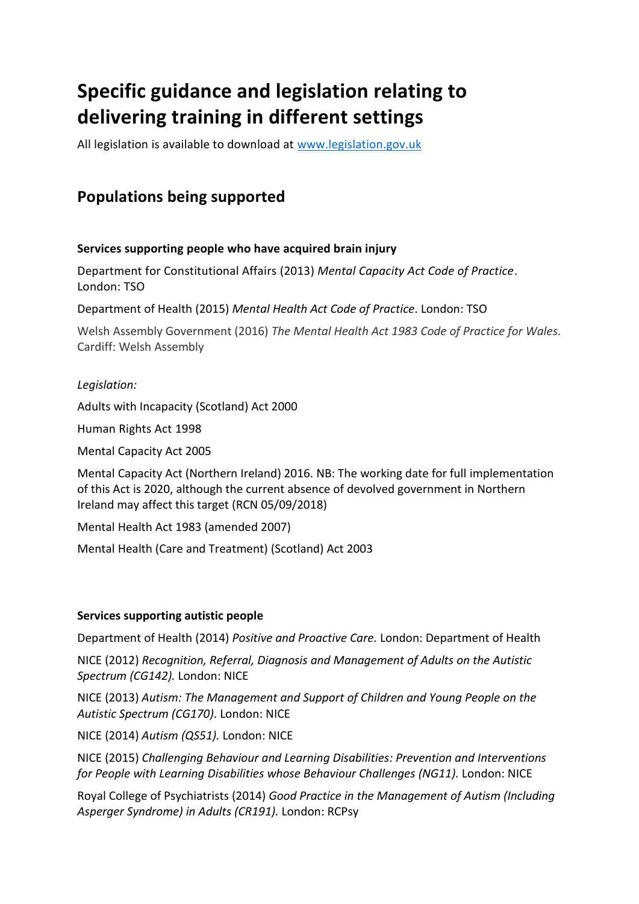# **Specific guidance and legislation relating to delivering training in different settings**

All legislation is available to download at [www.legislation.gov.uk](http://www.legislation.gov.uk/)

# **Populations being supported**

# **Services supporting people who have acquired brain injury**

Department for Constitutional Affairs (2013) *Mental Capacity Act Code of Practice*. London: TSO

Department of Health (2015) *Mental Health Act Code of Practice*. London: TSO

Welsh Assembly Government (2016) *The Mental Health Act 1983 Code of Practice for Wales.* Cardiff: Welsh Assembly

# *Legislation:*

Adults with Incapacity (Scotland) Act 2000

Human Rights Act 1998

Mental Capacity Act 2005

Mental Capacity Act (Northern Ireland) 2016. NB: The working date for full implementation of this Act is 2020, although the current absence of devolved government in Northern Ireland may affect this target (RCN 05/09/2018)

Mental Health Act 1983 (amended 2007)

Mental Health (Care and Treatment) (Scotland) Act 2003

# **Services supporting autistic people**

Department of Health (2014) *Positive and Proactive Care.* London: Department of Health

NICE (2012) *Recognition, Referral, Diagnosis and Management of Adults on the Autistic Spectrum (CG142).* London: NICE

NICE (2013) *Autism: The Management and Support of Children and Young People on the Autistic Spectrum (CG170)*. London: NICE

NICE (2014) *Autism (QS51).* London: NICE

NICE (2015) *Challenging Behaviour and Learning Disabilities: Prevention and Interventions for People with Learning Disabilities whose Behaviour Challenges (NG11).* London: NICE

Royal College of Psychiatrists (2014) *Good Practice in the Management of Autism (Including Asperger Syndrome) in Adults (CR191).* London: RCPsy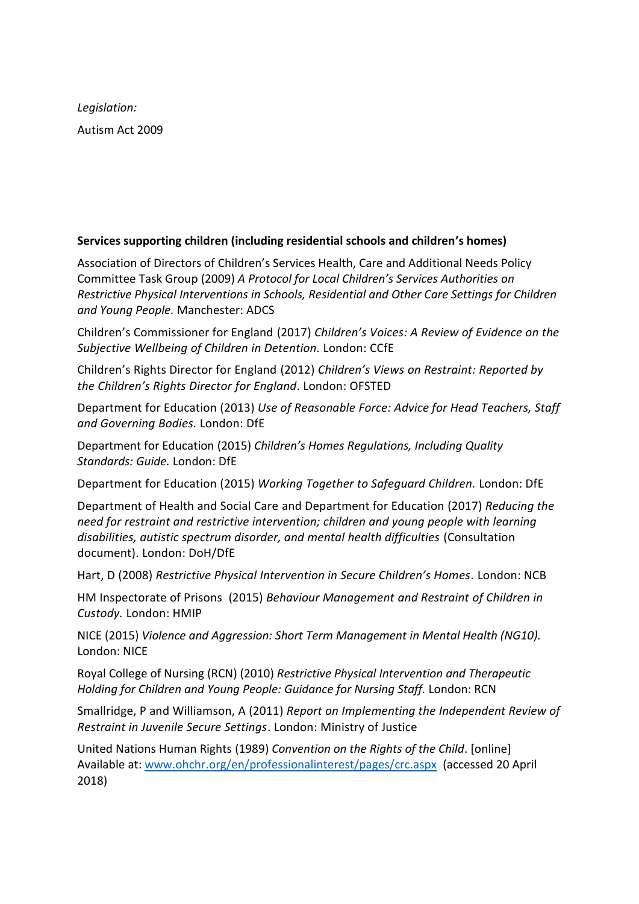*Legislation:* Autism Act 2009

# **Services supporting children (including residential schools and children's homes)**

Association of Directors of Children's Services Health, Care and Additional Needs Policy Committee Task Group (2009) *A Protocol for Local Children's Services Authorities on Restrictive Physical Interventions in Schools, Residential and Other Care Settings for Children and Young People.* Manchester: ADCS

Children's Commissioner for England (2017) *Children's Voices: A Review of Evidence on the Subjective Wellbeing of Children in Detention.* London: CCfE

Children's Rights Director for England (2012) *Children's Views on Restraint: Reported by the Children's Rights Director for England*. London: OFSTED

Department for Education (2013) *Use of Reasonable Force: Advice for Head Teachers, Staff and Governing Bodies.* London: DfE

Department for Education (2015) *Children's Homes Regulations, Including Quality Standards: Guide.* London: DfE

Department for Education (2015) *Working Together to Safeguard Children.* London: DfE

Department of Health and Social Care and Department for Education (2017) *Reducing the need for restraint and restrictive intervention; children and young people with learning disabilities, autistic spectrum disorder, and mental health difficulties* (Consultation document). London: DoH/DfE

Hart, D (2008) *Restrictive Physical Intervention in Secure Children's Homes.* London: NCB

HM Inspectorate of Prisons (2015) *Behaviour Management and Restraint of Children in Custody.* London: HMIP

NICE (2015) *Violence and Aggression: Short Term Management in Mental Health (NG10).* London: NICE

Royal College of Nursing (RCN) (2010) *Restrictive Physical Intervention and Therapeutic Holding for Children and Young People: Guidance for Nursing Staff.* London: RCN

Smallridge, P and Williamson, A (2011) *Report on Implementing the Independent Review of Restraint in Juvenile Secure Settings*. London: Ministry of Justice

United Nations Human Rights (1989) *Convention on the Rights of the Child*. [online] Available at: [www.ohchr.org/en/professionalinterest/pages/crc.aspx](http://www.ohchr.org/en/professionalinterest/pages/crc.aspx) (accessed 20 April 2018)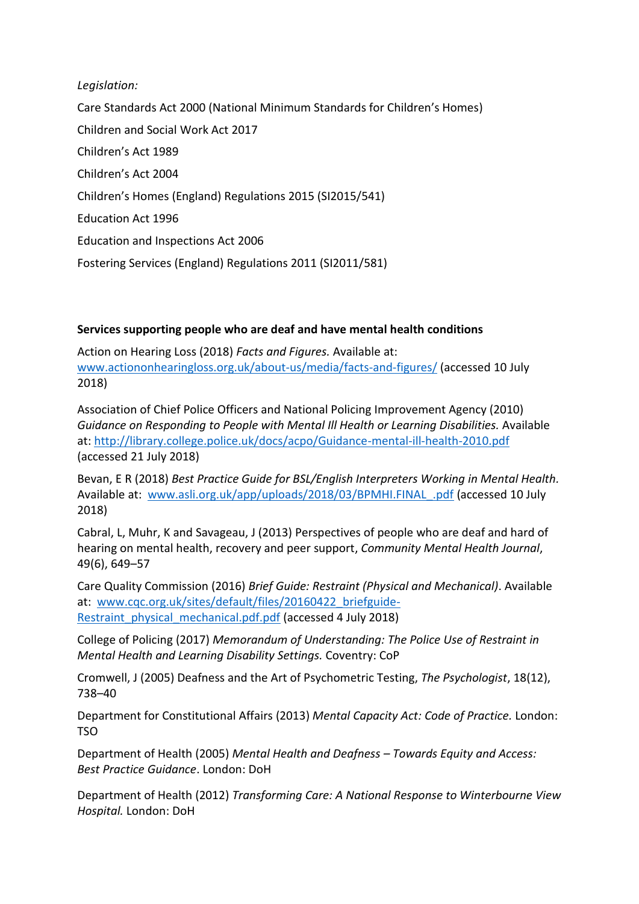*Legislation:*

Care Standards Act 2000 (National Minimum Standards for Children's Homes) Children and Social Work Act 2017 Children's Act 1989 Children's Act 2004 Children's Homes (England) Regulations 2015 (SI2015/541) Education Act 1996 Education and Inspections Act 2006 Fostering Services (England) Regulations 2011 (SI2011/581)

## **Services supporting people who are deaf and have mental health conditions**

Action on Hearing Loss (2018) *Facts and Figures.* Available at: [www.actiononhearingloss.org.uk/about-us/media/facts-and-figures/](http://www.actiononhearingloss.org.uk/about-us/media/facts-and-figures/) (accessed 10 July 2018)

Association of Chief Police Officers and National Policing Improvement Agency (2010) *Guidance on Responding to People with Mental Ill Health or Learning Disabilities.* Available at[: http://library.college.police.uk/docs/acpo/Guidance-mental-ill-health-2010.pdf](http://library.college.police.uk/docs/acpo/Guidance-mental-ill-health-2010.pdf) (accessed 21 July 2018)

Bevan, E R (2018) *Best Practice Guide for BSL/English Interpreters Working in Mental Health.*  Available at: www.asli.org.uk/app/uploads/2018/03/BPMHI.FINAL .pdf (accessed 10 July 2018)

Cabral, L, Muhr, K and Savageau, J (2013) Perspectives of people who are deaf and hard of hearing on mental health, recovery and peer support, *Community Mental Health Journal*, 49(6), 649–57

Care Quality Commission (2016) *Brief Guide: Restraint (Physical and Mechanical)*. Available at: www.cqc.org.uk/sites/default/files/20160422 briefguide-Restraint physical mechanical.pdf.pdf (accessed 4 July 2018)

College of Policing (2017) *Memorandum of Understanding: The Police Use of Restraint in Mental Health and Learning Disability Settings.* Coventry: CoP

Cromwell, J (2005) Deafness and the Art of Psychometric Testing, *The Psychologist*, 18(12), 738–40

Department for Constitutional Affairs (2013) *Mental Capacity Act: Code of Practice.* London: TSO

Department of Health (2005) *Mental Health and Deafness – Towards Equity and Access: Best Practice Guidance*. London: DoH

Department of Health (2012) *Transforming Care: A National Response to Winterbourne View Hospital.* London: DoH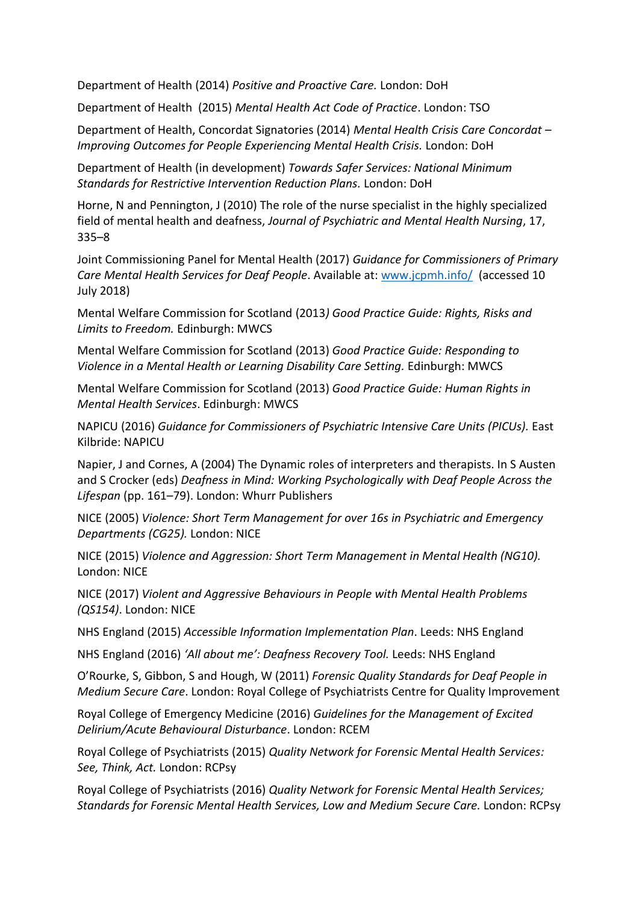Department of Health (2014) *Positive and Proactive Care.* London: DoH

Department of Health (2015) *Mental Health Act Code of Practice*. London: TSO

Department of Health, Concordat Signatories (2014) *Mental Health Crisis Care Concordat – Improving Outcomes for People Experiencing Mental Health Crisis.* London: DoH

Department of Health (in development) *Towards Safer Services: National Minimum Standards for Restrictive Intervention Reduction Plans.* London: DoH

Horne, N and Pennington, J (2010) The role of the nurse specialist in the highly specialized field of mental health and deafness, *Journal of Psychiatric and Mental Health Nursing*, 17, 335–8

Joint Commissioning Panel for Mental Health (2017) *Guidance for Commissioners of Primary Care Mental Health Services for Deaf People*. Available at: [www.jcpmh.info/](http://www.jcpmh.info/) (accessed 10 July 2018)

Mental Welfare Commission for Scotland (2013*) Good Practice Guide: Rights, Risks and Limits to Freedom.* Edinburgh: MWCS

Mental Welfare Commission for Scotland (2013) *Good Practice Guide: Responding to Violence in a Mental Health or Learning Disability Care Setting.* Edinburgh: MWCS

Mental Welfare Commission for Scotland (2013) *Good Practice Guide: Human Rights in Mental Health Services*. Edinburgh: MWCS

NAPICU (2016) *Guidance for Commissioners of Psychiatric Intensive Care Units (PICUs).* East Kilbride: NAPICU

Napier, J and Cornes, A (2004) The Dynamic roles of interpreters and therapists. In S Austen and S Crocker (eds) *Deafness in Mind: Working Psychologically with Deaf People Across the Lifespan* (pp. 161–79). London: Whurr Publishers

NICE (2005) *Violence: Short Term Management for over 16s in Psychiatric and Emergency Departments (CG25).* London: NICE

NICE (2015) *Violence and Aggression: Short Term Management in Mental Health (NG10).* London: NICE

NICE (2017) *Violent and Aggressive Behaviours in People with Mental Health Problems (QS154)*. London: NICE

NHS England (2015) *Accessible Information Implementation Plan*. Leeds: NHS England

NHS England (2016) *'All about me': Deafness Recovery Tool.* Leeds: NHS England

O'Rourke, S, Gibbon, S and Hough, W (2011) *Forensic Quality Standards for Deaf People in Medium Secure Care*. London: Royal College of Psychiatrists Centre for Quality Improvement

Royal College of Emergency Medicine (2016) *Guidelines for the Management of Excited Delirium/Acute Behavioural Disturbance*. London: RCEM

Royal College of Psychiatrists (2015) *Quality Network for Forensic Mental Health Services: See, Think, Act.* London: RCPsy

Royal College of Psychiatrists (2016) *Quality Network for Forensic Mental Health Services; Standards for Forensic Mental Health Services, Low and Medium Secure Care.* London: RCPsy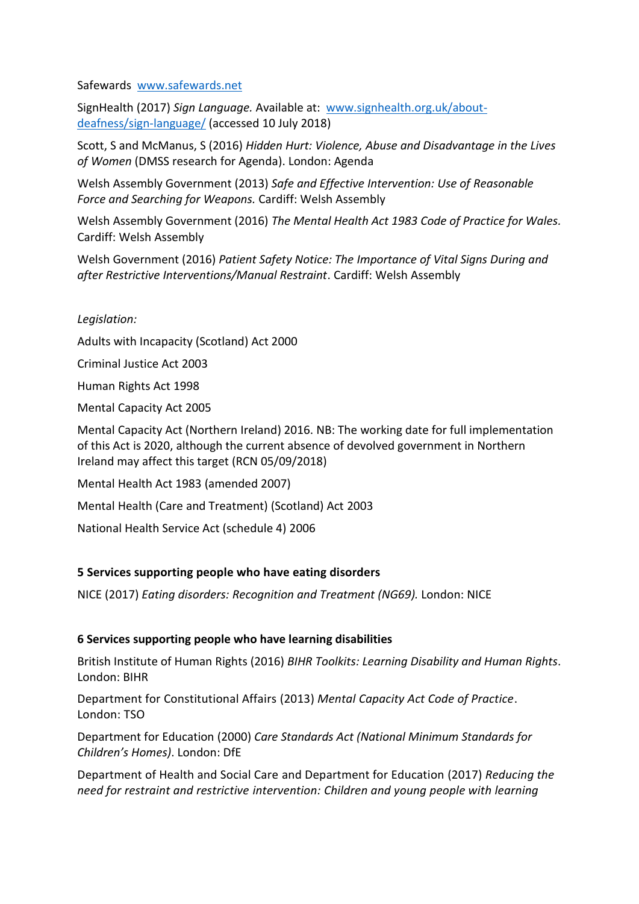Safewards [www.safewards.net](http://www.safewards.net/)

SignHealth (2017) *Sign Language.* Available at: [www.signhealth.org.uk/about](http://www.signhealth.org.uk/about-deafness/sign-language/)[deafness/sign-language/](http://www.signhealth.org.uk/about-deafness/sign-language/) (accessed 10 July 2018)

Scott, S and McManus, S (2016) *Hidden Hurt: Violence, Abuse and Disadvantage in the Lives of Women* (DMSS research for Agenda). London: Agenda

Welsh Assembly Government (2013) *Safe and Effective Intervention: Use of Reasonable Force and Searching for Weapons.* Cardiff: Welsh Assembly

Welsh Assembly Government (2016) *The Mental Health Act 1983 Code of Practice for Wales.* Cardiff: Welsh Assembly

Welsh Government (2016) *Patient Safety Notice: The Importance of Vital Signs During and after Restrictive Interventions/Manual Restraint*. Cardiff: Welsh Assembly

*Legislation:*

Adults with Incapacity (Scotland) Act 2000

Criminal Justice Act 2003

Human Rights Act 1998

Mental Capacity Act 2005

Mental Capacity Act (Northern Ireland) 2016. NB: The working date for full implementation of this Act is 2020, although the current absence of devolved government in Northern Ireland may affect this target (RCN 05/09/2018)

Mental Health Act 1983 (amended 2007)

Mental Health (Care and Treatment) (Scotland) Act 2003

National Health Service Act (schedule 4) 2006

# **5 Services supporting people who have eating disorders**

NICE (2017) *Eating disorders: Recognition and Treatment (NG69).* London: NICE

#### **6 Services supporting people who have learning disabilities**

British Institute of Human Rights (2016) *BIHR Toolkits: Learning Disability and Human Rights*. London: BIHR

Department for Constitutional Affairs (2013) *Mental Capacity Act Code of Practice*. London: TSO

Department for Education (2000) *Care Standards Act (National Minimum Standards for Children's Homes)*. London: DfE

Department of Health and Social Care and Department for Education (2017) *Reducing the need for restraint and restrictive intervention: Children and young people with learning*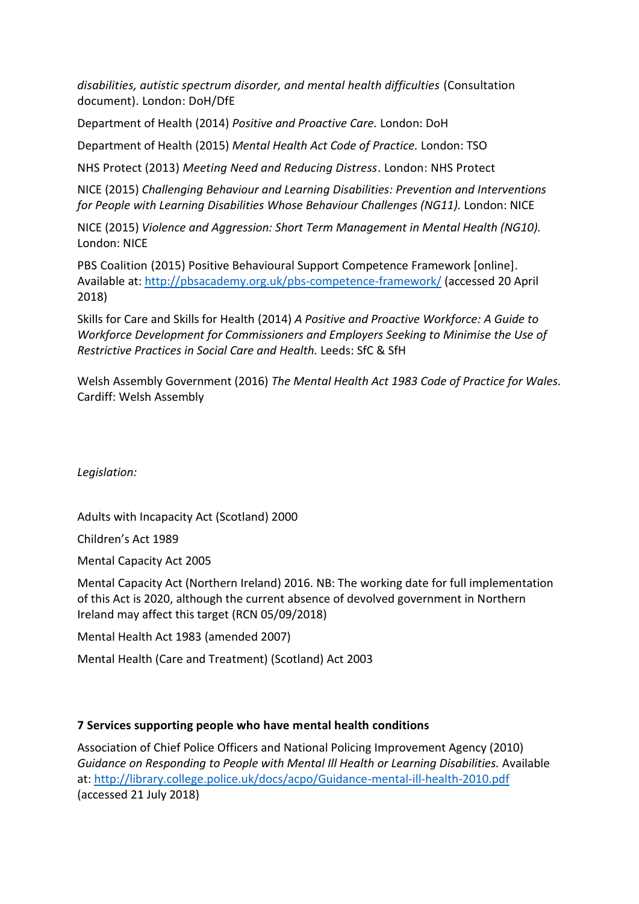*disabilities, autistic spectrum disorder, and mental health difficulties* (Consultation document). London: DoH/DfE

Department of Health (2014) *Positive and Proactive Care.* London: DoH

Department of Health (2015) *Mental Health Act Code of Practice.* London: TSO

NHS Protect (2013) *Meeting Need and Reducing Distress*. London: NHS Protect

NICE (2015) *Challenging Behaviour and Learning Disabilities: Prevention and Interventions for People with Learning Disabilities Whose Behaviour Challenges (NG11).* London: NICE

NICE (2015) *Violence and Aggression: Short Term Management in Mental Health (NG10).*  London: NICE

PBS Coalition (2015) Positive Behavioural Support Competence Framework [online]. Available at: <http://pbsacademy.org.uk/pbs-competence-framework/> (accessed 20 April 2018)

Skills for Care and Skills for Health (2014) *A Positive and Proactive Workforce: A Guide to Workforce Development for Commissioners and Employers Seeking to Minimise the Use of Restrictive Practices in Social Care and Health.* Leeds: SfC & SfH

Welsh Assembly Government (2016) *The Mental Health Act 1983 Code of Practice for Wales.* Cardiff: Welsh Assembly

*Legislation:*

Adults with Incapacity Act (Scotland) 2000

Children's Act 1989

Mental Capacity Act 2005

Mental Capacity Act (Northern Ireland) 2016. NB: The working date for full implementation of this Act is 2020, although the current absence of devolved government in Northern Ireland may affect this target (RCN 05/09/2018)

Mental Health Act 1983 (amended 2007)

Mental Health (Care and Treatment) (Scotland) Act 2003

#### **7 Services supporting people who have mental health conditions**

Association of Chief Police Officers and National Policing Improvement Agency (2010) *Guidance on Responding to People with Mental Ill Health or Learning Disabilities.* Available at[: http://library.college.police.uk/docs/acpo/Guidance-mental-ill-health-2010.pdf](http://library.college.police.uk/docs/acpo/Guidance-mental-ill-health-2010.pdf) (accessed 21 July 2018)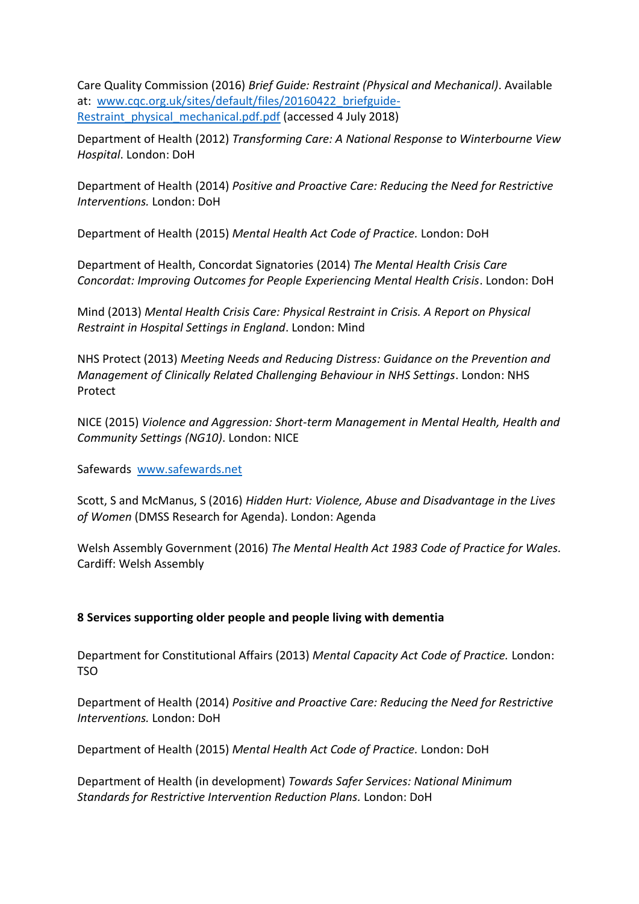Care Quality Commission (2016) *Brief Guide: Restraint (Physical and Mechanical)*. Available at: [www.cqc.org.uk/sites/default/files/20160422\\_briefguide-](http://www.cqc.org.uk/sites/default/files/20160422_briefguide-Restraint_physical_mechanical.pdf.pdf)Restraint physical mechanical.pdf.pdf (accessed 4 July 2018)

Department of Health (2012) *Transforming Care: A National Response to Winterbourne View Hospital*. London: DoH

Department of Health (2014) *Positive and Proactive Care: Reducing the Need for Restrictive Interventions.* London: DoH

Department of Health (2015) *Mental Health Act Code of Practice.* London: DoH

Department of Health, Concordat Signatories (2014) *The Mental Health Crisis Care Concordat: Improving Outcomes for People Experiencing Mental Health Crisis*. London: DoH

Mind (2013) *Mental Health Crisis Care: Physical Restraint in Crisis. A Report on Physical Restraint in Hospital Settings in England*. London: Mind

NHS Protect (2013) *Meeting Needs and Reducing Distress: Guidance on the Prevention and Management of Clinically Related Challenging Behaviour in NHS Settings*. London: NHS Protect

NICE (2015) *Violence and Aggression: Short-term Management in Mental Health, Health and Community Settings (NG10)*. London: NICE

Safewards [www.safewards.net](http://www.safewards.net/) 

Scott, S and McManus, S (2016) *Hidden Hurt: Violence, Abuse and Disadvantage in the Lives of Women* (DMSS Research for Agenda). London: Agenda

Welsh Assembly Government (2016) *The Mental Health Act 1983 Code of Practice for Wales.* Cardiff: Welsh Assembly

# **8 Services supporting older people and people living with dementia**

Department for Constitutional Affairs (2013) *Mental Capacity Act Code of Practice.* London: TSO

Department of Health (2014) *Positive and Proactive Care: Reducing the Need for Restrictive Interventions.* London: DoH

Department of Health (2015) *Mental Health Act Code of Practice.* London: DoH

Department of Health (in development) *Towards Safer Services: National Minimum Standards for Restrictive Intervention Reduction Plans.* London: DoH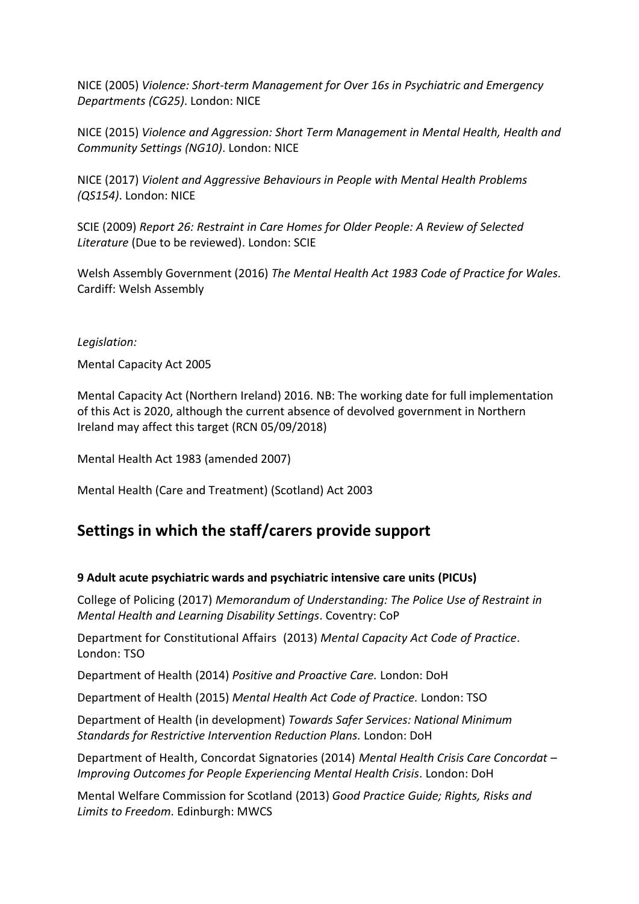NICE (2005) *Violence: Short-term Management for Over 16s in Psychiatric and Emergency Departments (CG25)*. London: NICE

NICE (2015) *Violence and Aggression: Short Term Management in Mental Health, Health and Community Settings (NG10)*. London: NICE

NICE (2017) *Violent and Aggressive Behaviours in People with Mental Health Problems (QS154)*. London: NICE

SCIE (2009) *Report 26: Restraint in Care Homes for Older People: A Review of Selected Literature* (Due to be reviewed). London: SCIE

Welsh Assembly Government (2016) *The Mental Health Act 1983 Code of Practice for Wales.* Cardiff: Welsh Assembly

#### *Legislation:*

Mental Capacity Act 2005

Mental Capacity Act (Northern Ireland) 2016. NB: The working date for full implementation of this Act is 2020, although the current absence of devolved government in Northern Ireland may affect this target (RCN 05/09/2018)

Mental Health Act 1983 (amended 2007)

Mental Health (Care and Treatment) (Scotland) Act 2003

# **Settings in which the staff/carers provide support**

#### **9 Adult acute psychiatric wards and psychiatric intensive care units (PICUs)**

College of Policing (2017) *Memorandum of Understanding: The Police Use of Restraint in Mental Health and Learning Disability Settings*. Coventry: CoP

Department for Constitutional Affairs (2013) *Mental Capacity Act Code of Practice.* London: TSO

Department of Health (2014) *Positive and Proactive Care.* London: DoH

Department of Health (2015) *Mental Health Act Code of Practice.* London: TSO

Department of Health (in development) *Towards Safer Services: National Minimum Standards for Restrictive Intervention Reduction Plans.* London: DoH

Department of Health, Concordat Signatories (2014) *Mental Health Crisis Care Concordat – Improving Outcomes for People Experiencing Mental Health Crisis*. London: DoH

Mental Welfare Commission for Scotland (2013) *Good Practice Guide; Rights, Risks and Limits to Freedom*. Edinburgh: MWCS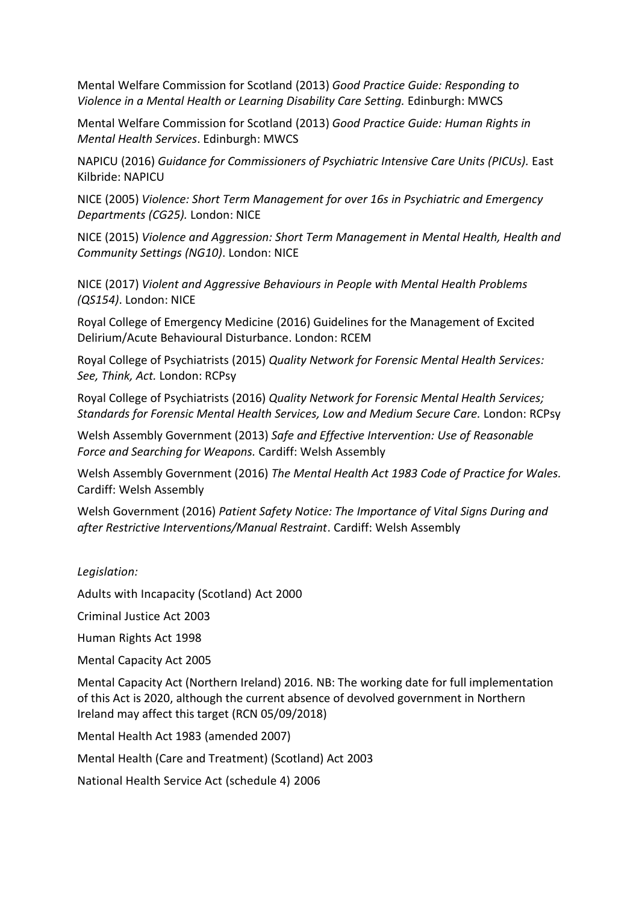Mental Welfare Commission for Scotland (2013) *Good Practice Guide: Responding to Violence in a Mental Health or Learning Disability Care Setting.* Edinburgh: MWCS

Mental Welfare Commission for Scotland (2013) *Good Practice Guide: Human Rights in Mental Health Services*. Edinburgh: MWCS

NAPICU (2016) *Guidance for Commissioners of Psychiatric Intensive Care Units (PICUs).* East Kilbride: NAPICU

NICE (2005) *Violence: Short Term Management for over 16s in Psychiatric and Emergency Departments (CG25).* London: NICE

NICE (2015) *Violence and Aggression: Short Term Management in Mental Health, Health and Community Settings (NG10)*. London: NICE

NICE (2017) *Violent and Aggressive Behaviours in People with Mental Health Problems (QS154)*. London: NICE

Royal College of Emergency Medicine (2016) Guidelines for the Management of Excited Delirium/Acute Behavioural Disturbance. London: RCEM

Royal College of Psychiatrists (2015) *Quality Network for Forensic Mental Health Services: See, Think, Act.* London: RCPsy

Royal College of Psychiatrists (2016) *Quality Network for Forensic Mental Health Services; Standards for Forensic Mental Health Services, Low and Medium Secure Care.* London: RCPsy

Welsh Assembly Government (2013) *Safe and Effective Intervention: Use of Reasonable Force and Searching for Weapons.* Cardiff: Welsh Assembly

Welsh Assembly Government (2016) *The Mental Health Act 1983 Code of Practice for Wales.* Cardiff: Welsh Assembly

Welsh Government (2016) *Patient Safety Notice: The Importance of Vital Signs During and after Restrictive Interventions/Manual Restraint*. Cardiff: Welsh Assembly

# *Legislation:*

Adults with Incapacity (Scotland) Act 2000

Criminal Justice Act 2003

Human Rights Act 1998

Mental Capacity Act 2005

Mental Capacity Act (Northern Ireland) 2016. NB: The working date for full implementation of this Act is 2020, although the current absence of devolved government in Northern Ireland may affect this target (RCN 05/09/2018)

Mental Health Act 1983 (amended 2007)

Mental Health (Care and Treatment) (Scotland) Act 2003

National Health Service Act (schedule 4) 2006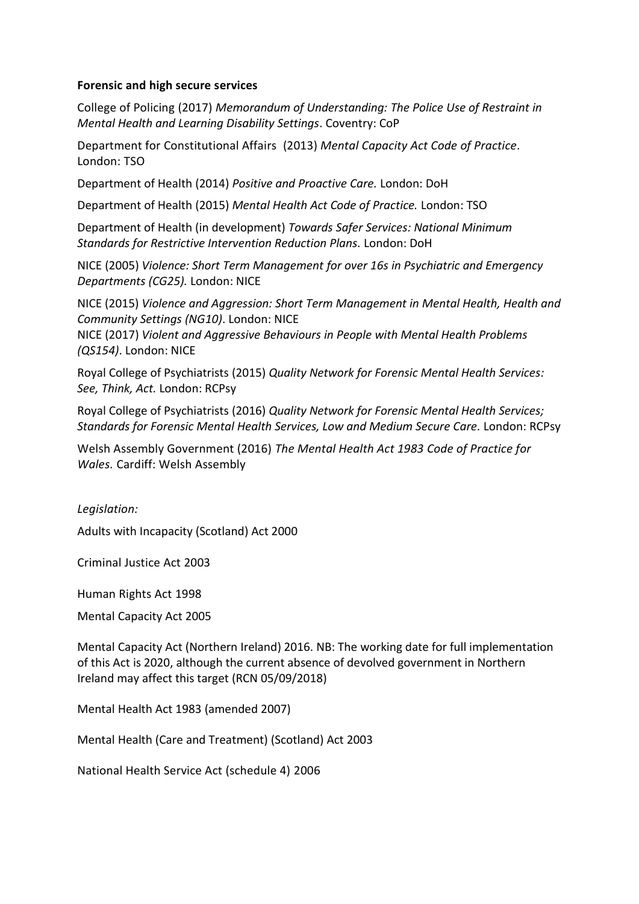#### **Forensic and high secure services**

College of Policing (2017) *Memorandum of Understanding: The Police Use of Restraint in Mental Health and Learning Disability Settings*. Coventry: CoP

Department for Constitutional Affairs (2013) *Mental Capacity Act Code of Practice.* London: TSO

Department of Health (2014) *Positive and Proactive Care.* London: DoH

Department of Health (2015) *Mental Health Act Code of Practice.* London: TSO

Department of Health (in development) *Towards Safer Services: National Minimum Standards for Restrictive Intervention Reduction Plans.* London: DoH

NICE (2005) *Violence: Short Term Management for over 16s in Psychiatric and Emergency Departments (CG25).* London: NICE

NICE (2015) *Violence and Aggression: Short Term Management in Mental Health, Health and Community Settings (NG10)*. London: NICE

NICE (2017) *Violent and Aggressive Behaviours in People with Mental Health Problems (QS154)*. London: NICE

Royal College of Psychiatrists (2015) *Quality Network for Forensic Mental Health Services: See, Think, Act.* London: RCPsy

Royal College of Psychiatrists (2016) *Quality Network for Forensic Mental Health Services; Standards for Forensic Mental Health Services, Low and Medium Secure Care.* London: RCPsy

Welsh Assembly Government (2016) *The Mental Health Act 1983 Code of Practice for Wales.* Cardiff: Welsh Assembly

*Legislation:*

Adults with Incapacity (Scotland) Act 2000

Criminal Justice Act 2003

Human Rights Act 1998

Mental Capacity Act 2005

Mental Capacity Act (Northern Ireland) 2016. NB: The working date for full implementation of this Act is 2020, although the current absence of devolved government in Northern Ireland may affect this target (RCN 05/09/2018)

Mental Health Act 1983 (amended 2007)

Mental Health (Care and Treatment) (Scotland) Act 2003

National Health Service Act (schedule 4) 2006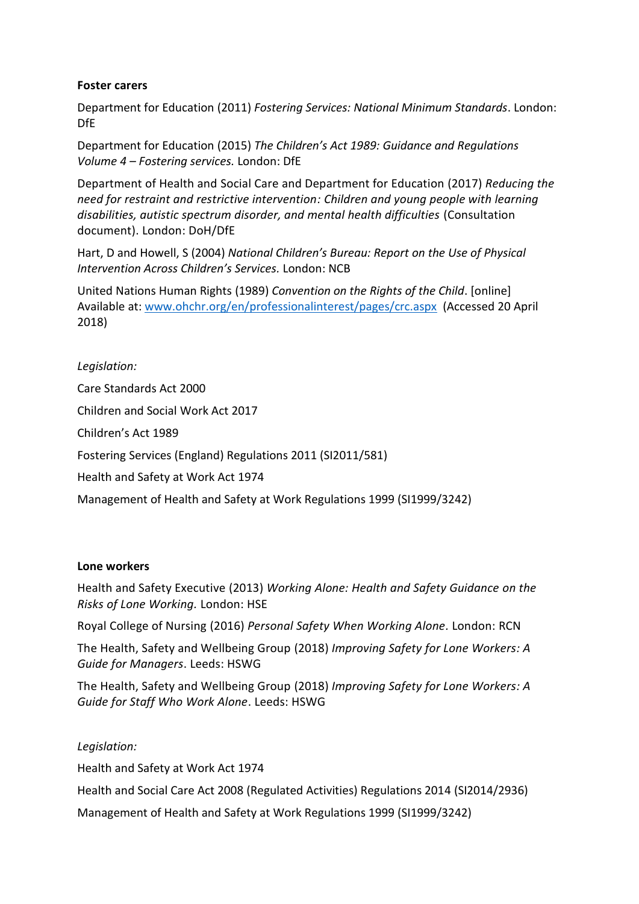## **Foster carers**

Department for Education (2011) *Fostering Services: National Minimum Standards*. London: DfE

Department for Education (2015) *The Children's Act 1989: Guidance and Regulations Volume 4 – Fostering services.* London: DfE

Department of Health and Social Care and Department for Education (2017) *Reducing the need for restraint and restrictive intervention: Children and young people with learning disabilities, autistic spectrum disorder, and mental health difficulties* (Consultation document). London: DoH/DfE

Hart, D and Howell, S (2004) *National Children's Bureau: Report on the Use of Physical Intervention Across Children's Services.* London: NCB

United Nations Human Rights (1989) *Convention on the Rights of the Child*. [online] Available at: [www.ohchr.org/en/professionalinterest/pages/crc.aspx](http://www.ohchr.org/en/professionalinterest/pages/crc.aspx) (Accessed 20 April 2018)

*Legislation:* Care Standards Act 2000 Children and Social Work Act 2017 Children's Act 1989 Fostering Services (England) Regulations 2011 (SI2011/581) Health and Safety at Work Act 1974 Management of Health and Safety at Work Regulations 1999 (SI1999/3242)

#### **Lone workers**

Health and Safety Executive (2013) *Working Alone: Health and Safety Guidance on the Risks of Lone Working.* London: HSE

Royal College of Nursing (2016) *Personal Safety When Working Alone.* London: RCN

The Health, Safety and Wellbeing Group (2018) *Improving Safety for Lone Workers: A Guide for Managers*. Leeds: HSWG

The Health, Safety and Wellbeing Group (2018) *Improving Safety for Lone Workers: A Guide for Staff Who Work Alone*. Leeds: HSWG

*Legislation:*

Health and Safety at Work Act 1974

Health and Social Care Act 2008 (Regulated Activities) Regulations 2014 (SI2014/2936)

Management of Health and Safety at Work Regulations 1999 (SI1999/3242)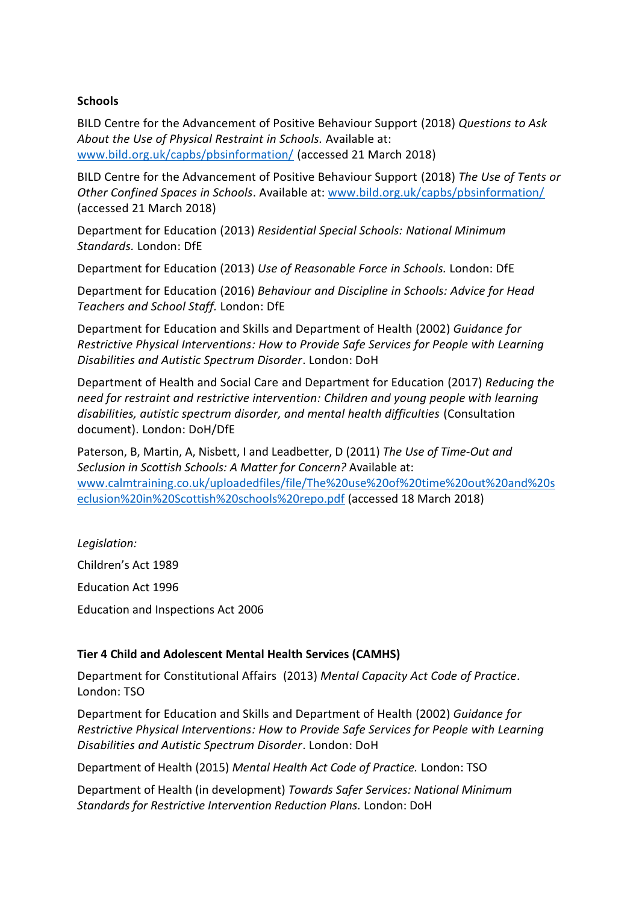#### **Schools**

BILD Centre for the Advancement of Positive Behaviour Support (2018) *Questions to Ask About the Use of Physical Restraint in Schools.* Available at: [www.bild.org.uk/capbs/pbsinformation/](http://www.bild.org.uk/capbs/pbsinformation/) (accessed 21 March 2018)

BILD Centre for the Advancement of Positive Behaviour Support (2018) *The Use of Tents or Other Confined Spaces in Schools*. Available at: [www.bild.org.uk/capbs/pbsinformation/](http://www.bild.org.uk/capbs/pbsinformation/) (accessed 21 March 2018)

Department for Education (2013) *Residential Special Schools: National Minimum Standards.* London: DfE

Department for Education (2013) *Use of Reasonable Force in Schools.* London: DfE

Department for Education (2016) *Behaviour and Discipline in Schools: Advice for Head Teachers and School Staff.* London: DfE

Department for Education and Skills and Department of Health (2002) *Guidance for Restrictive Physical Interventions: How to Provide Safe Services for People with Learning Disabilities and Autistic Spectrum Disorder*. London: DoH

Department of Health and Social Care and Department for Education (2017) *Reducing the need for restraint and restrictive intervention: Children and young people with learning disabilities, autistic spectrum disorder, and mental health difficulties* (Consultation document). London: DoH/DfE

Paterson, B, Martin, A, Nisbett, I and Leadbetter, D (2011) *The Use of Time-Out and Seclusion in Scottish Schools: A Matter for Concern?* Available at: [www.calmtraining.co.uk/uploadedfiles/file/The%20use%20of%20time%20out%20and%20s](http://www.calmtraining.co.uk/uploadedfiles/file/The%20use%20of%20time%20out%20and%20seclusion%20in%20Scottish%20schools%20repo.pdf) [eclusion%20in%20Scottish%20schools%20repo.pdf](http://www.calmtraining.co.uk/uploadedfiles/file/The%20use%20of%20time%20out%20and%20seclusion%20in%20Scottish%20schools%20repo.pdf) (accessed 18 March 2018)

*Legislation:* Children's Act 1989 Education Act 1996 Education and Inspections Act 2006

# **Tier 4 Child and Adolescent Mental Health Services (CAMHS)**

Department for Constitutional Affairs (2013) *Mental Capacity Act Code of Practice.* London: TSO

Department for Education and Skills and Department of Health (2002) *Guidance for Restrictive Physical Interventions: How to Provide Safe Services for People with Learning Disabilities and Autistic Spectrum Disorder*. London: DoH

Department of Health (2015) *Mental Health Act Code of Practice.* London: TSO

Department of Health (in development) *Towards Safer Services: National Minimum Standards for Restrictive Intervention Reduction Plans.* London: DoH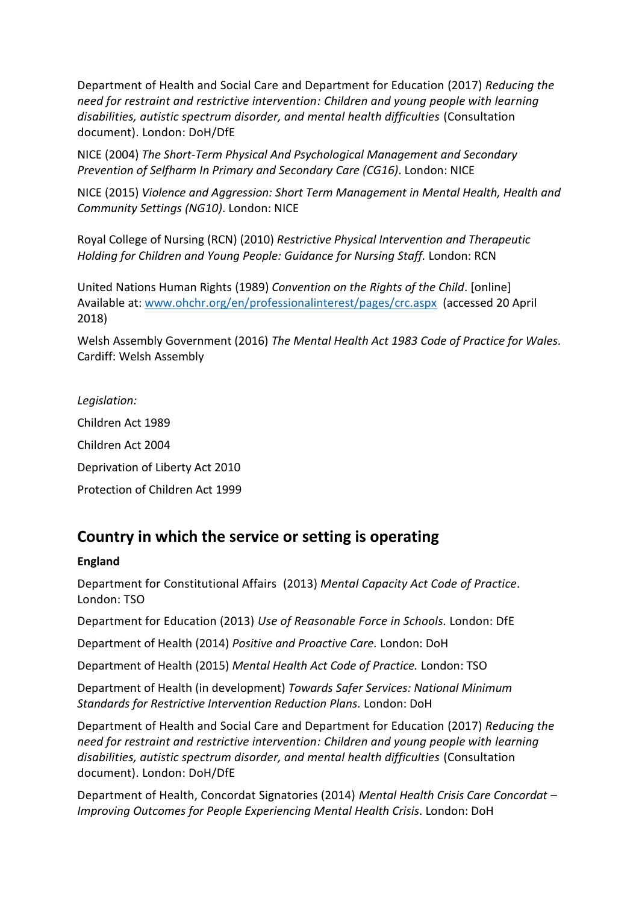Department of Health and Social Care and Department for Education (2017) *Reducing the need for restraint and restrictive intervention: Children and young people with learning disabilities, autistic spectrum disorder, and mental health difficulties* (Consultation document). London: DoH/DfE

NICE (2004) *The Short-Term Physical And Psychological Management and Secondary Prevention of Selfharm In Primary and Secondary Care (CG16)*. London: NICE

NICE (2015) *Violence and Aggression: Short Term Management in Mental Health, Health and Community Settings (NG10)*. London: NICE

Royal College of Nursing (RCN) (2010) *Restrictive Physical Intervention and Therapeutic Holding for Children and Young People: Guidance for Nursing Staff.* London: RCN

United Nations Human Rights (1989) *Convention on the Rights of the Child*. [online] Available at: [www.ohchr.org/en/professionalinterest/pages/crc.aspx](http://www.ohchr.org/en/professionalinterest/pages/crc.aspx) (accessed 20 April 2018)

Welsh Assembly Government (2016) *The Mental Health Act 1983 Code of Practice for Wales.* Cardiff: Welsh Assembly

*Legislation:* Children Act 1989 Children Act 2004 Deprivation of Liberty Act 2010 Protection of Children Act 1999

# **Country in which the service or setting is operating**

# **England**

Department for Constitutional Affairs (2013) *Mental Capacity Act Code of Practice.* London: TSO

Department for Education (2013) *Use of Reasonable Force in Schools.* London: DfE

Department of Health (2014) *Positive and Proactive Care.* London: DoH

Department of Health (2015) *Mental Health Act Code of Practice.* London: TSO

Department of Health (in development) *Towards Safer Services: National Minimum Standards for Restrictive Intervention Reduction Plans.* London: DoH

Department of Health and Social Care and Department for Education (2017) *Reducing the need for restraint and restrictive intervention: Children and young people with learning disabilities, autistic spectrum disorder, and mental health difficulties* (Consultation document). London: DoH/DfE

Department of Health, Concordat Signatories (2014) *Mental Health Crisis Care Concordat – Improving Outcomes for People Experiencing Mental Health Crisis*. London: DoH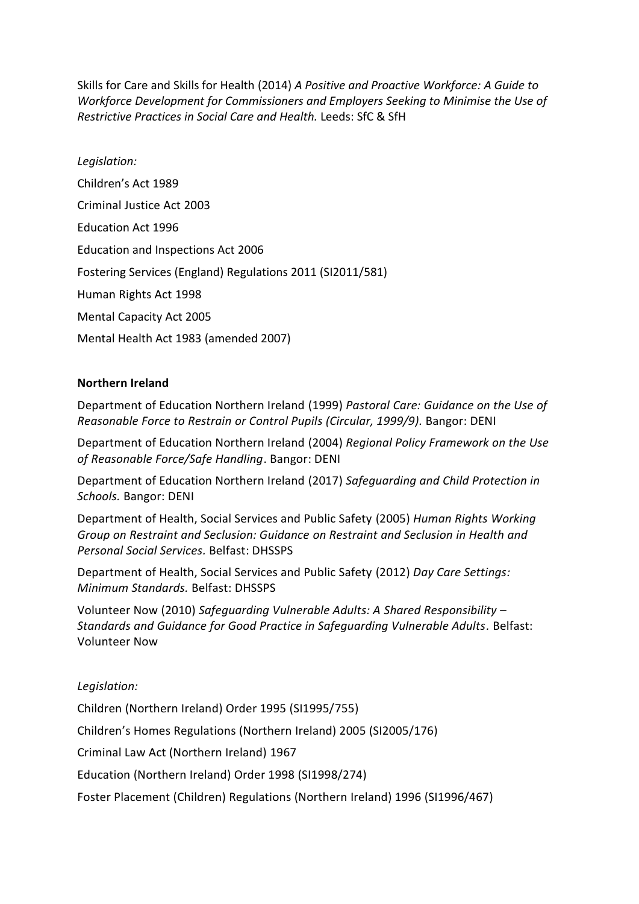Skills for Care and Skills for Health (2014) *A Positive and Proactive Workforce: A Guide to Workforce Development for Commissioners and Employers Seeking to Minimise the Use of Restrictive Practices in Social Care and Health.* Leeds: SfC & SfH

*Legislation:* Children's Act 1989 Criminal Justice Act 2003 Education Act 1996 Education and Inspections Act 2006 Fostering Services (England) Regulations 2011 (SI2011/581) Human Rights Act 1998 Mental Capacity Act 2005 Mental Health Act 1983 (amended 2007)

## **Northern Ireland**

Department of Education Northern Ireland (1999) *Pastoral Care: Guidance on the Use of Reasonable Force to Restrain or Control Pupils (Circular, 1999/9).* Bangor: DENI

Department of Education Northern Ireland (2004) *Regional Policy Framework on the Use of Reasonable Force/Safe Handling*. Bangor: DENI

Department of Education Northern Ireland (2017) *Safeguarding and Child Protection in Schools.* Bangor: DENI

Department of Health, Social Services and Public Safety (2005) *Human Rights Working Group on Restraint and Seclusion: Guidance on Restraint and Seclusion in Health and Personal Social Services.* Belfast: DHSSPS

Department of Health, Social Services and Public Safety (2012) *Day Care Settings: Minimum Standards.* Belfast: DHSSPS

Volunteer Now (2010) *Safeguarding Vulnerable Adults: A Shared Responsibility – Standards and Guidance for Good Practice in Safeguarding Vulnerable Adults.* Belfast: Volunteer Now

#### *Legislation:*

Children (Northern Ireland) Order 1995 (SI1995/755)

Children's Homes Regulations (Northern Ireland) 2005 (SI2005/176)

Criminal Law Act (Northern Ireland) 1967

Education (Northern Ireland) Order 1998 (SI1998/274)

Foster Placement (Children) Regulations (Northern Ireland) 1996 (SI1996/467)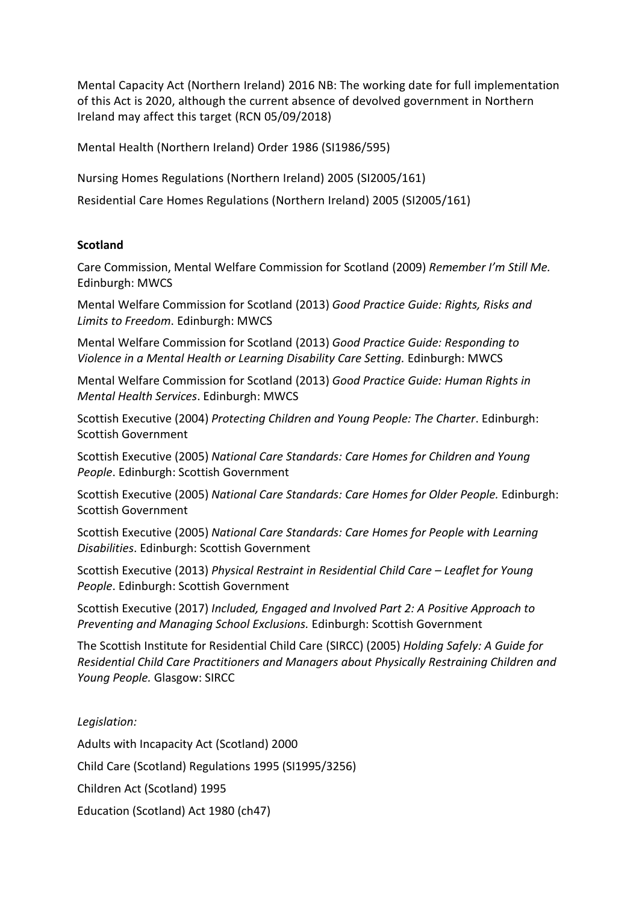Mental Capacity Act (Northern Ireland) 2016 NB: The working date for full implementation of this Act is 2020, although the current absence of devolved government in Northern Ireland may affect this target (RCN 05/09/2018)

Mental Health (Northern Ireland) Order 1986 (SI1986/595)

Nursing Homes Regulations (Northern Ireland) 2005 (SI2005/161)

Residential Care Homes Regulations (Northern Ireland) 2005 (SI2005/161)

#### **Scotland**

Care Commission, Mental Welfare Commission for Scotland (2009) *Remember I'm Still Me.* Edinburgh: MWCS

Mental Welfare Commission for Scotland (2013) *Good Practice Guide: Rights, Risks and Limits to Freedom*. Edinburgh: MWCS

Mental Welfare Commission for Scotland (2013) *Good Practice Guide: Responding to Violence in a Mental Health or Learning Disability Care Setting.* Edinburgh: MWCS

Mental Welfare Commission for Scotland (2013) *Good Practice Guide: Human Rights in Mental Health Services*. Edinburgh: MWCS

Scottish Executive (2004) *Protecting Children and Young People: The Charter*. Edinburgh: Scottish Government

Scottish Executive (2005) *National Care Standards: Care Homes for Children and Young People*. Edinburgh: Scottish Government

Scottish Executive (2005) *National Care Standards: Care Homes for Older People.* Edinburgh: Scottish Government

Scottish Executive (2005) *National Care Standards: Care Homes for People with Learning Disabilities*. Edinburgh: Scottish Government

Scottish Executive (2013) *Physical Restraint in Residential Child Care – Leaflet for Young People*. Edinburgh: Scottish Government

Scottish Executive (2017) *Included, Engaged and Involved Part 2: A Positive Approach to Preventing and Managing School Exclusions.* Edinburgh: Scottish Government

The Scottish Institute for Residential Child Care (SIRCC) (2005) *Holding Safely: A Guide for Residential Child Care Practitioners and Managers about Physically Restraining Children and Young People.* Glasgow: SIRCC

# *Legislation:*

Adults with Incapacity Act (Scotland) 2000 Child Care (Scotland) Regulations 1995 (SI1995/3256) Children Act (Scotland) 1995 Education (Scotland) Act 1980 (ch47)